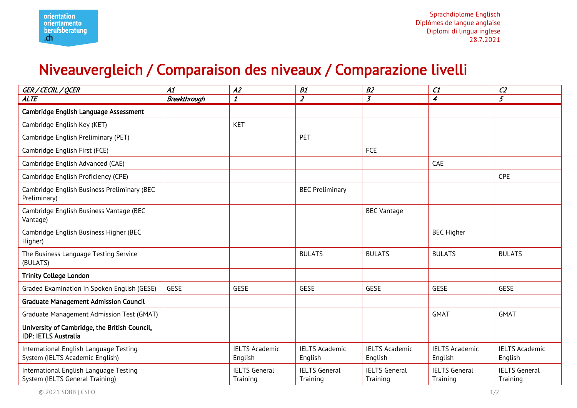## Niveauvergleich / Comparaison des niveaux / Comparazione livelli

| GER / CECRL / QCER                                                           | A1                  | A2                               | B1                               | B2                               | C1                               | C <sub>2</sub>                   |
|------------------------------------------------------------------------------|---------------------|----------------------------------|----------------------------------|----------------------------------|----------------------------------|----------------------------------|
| <b>ALTE</b>                                                                  | <b>Breakthrough</b> | $\boldsymbol{\mathit{1}}$        | $\overline{z}$                   | $\overline{3}$                   | $\boldsymbol{4}$                 | 5                                |
| Cambridge English Language Assessment                                        |                     |                                  |                                  |                                  |                                  |                                  |
| Cambridge English Key (KET)                                                  |                     | <b>KET</b>                       |                                  |                                  |                                  |                                  |
| Cambridge English Preliminary (PET)                                          |                     |                                  | PET                              |                                  |                                  |                                  |
| Cambridge English First (FCE)                                                |                     |                                  |                                  | FCE                              |                                  |                                  |
| Cambridge English Advanced (CAE)                                             |                     |                                  |                                  |                                  | CAE                              |                                  |
| Cambridge English Proficiency (CPE)                                          |                     |                                  |                                  |                                  |                                  | <b>CPE</b>                       |
| Cambridge English Business Preliminary (BEC<br>Preliminary)                  |                     |                                  | <b>BEC Preliminary</b>           |                                  |                                  |                                  |
| Cambridge English Business Vantage (BEC<br>Vantage)                          |                     |                                  |                                  | <b>BEC Vantage</b>               |                                  |                                  |
| Cambridge English Business Higher (BEC<br>Higher)                            |                     |                                  |                                  |                                  | <b>BEC Higher</b>                |                                  |
| The Business Language Testing Service<br>(BULATS)                            |                     |                                  | <b>BULATS</b>                    | <b>BULATS</b>                    | <b>BULATS</b>                    | <b>BULATS</b>                    |
| <b>Trinity College London</b>                                                |                     |                                  |                                  |                                  |                                  |                                  |
| Graded Examination in Spoken English (GESE)                                  | <b>GESE</b>         | <b>GESE</b>                      | <b>GESE</b>                      | <b>GESE</b>                      | GESE                             | <b>GESE</b>                      |
| <b>Graduate Management Admission Council</b>                                 |                     |                                  |                                  |                                  |                                  |                                  |
| Graduate Management Admission Test (GMAT)                                    |                     |                                  |                                  |                                  | <b>GMAT</b>                      | <b>GMAT</b>                      |
| University of Cambridge, the British Council,<br><b>IDP: IETLS Australia</b> |                     |                                  |                                  |                                  |                                  |                                  |
| International English Language Testing<br>System (IELTS Academic English)    |                     | <b>IELTS Academic</b><br>English | <b>IELTS Academic</b><br>English | <b>IELTS Academic</b><br>English | <b>IELTS Academic</b><br>English | <b>IELTS Academic</b><br>English |
| International English Language Testing<br>System (IELTS General Training)    |                     | <b>IELTS</b> General<br>Training | <b>IELTS</b> General<br>Training | <b>IELTS General</b><br>Training | <b>IELTS</b> General<br>Training | <b>IELTS</b> General<br>Training |